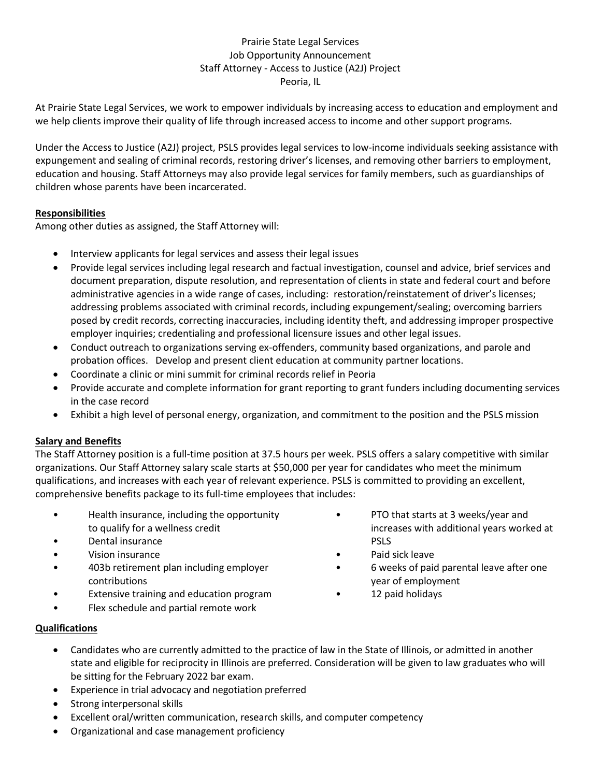# Prairie State Legal Services Job Opportunity Announcement Staff Attorney - Access to Justice (A2J) Project Peoria, IL

At Prairie State Legal Services, we work to empower individuals by increasing access to education and employment and we help clients improve their quality of life through increased access to income and other support programs.

Under the Access to Justice (A2J) project, PSLS provides legal services to low-income individuals seeking assistance with expungement and sealing of criminal records, restoring driver's licenses, and removing other barriers to employment, education and housing. Staff Attorneys may also provide legal services for family members, such as guardianships of children whose parents have been incarcerated.

## **Responsibilities**

Among other duties as assigned, the Staff Attorney will:

- Interview applicants for legal services and assess their legal issues
- Provide legal services including legal research and factual investigation, counsel and advice, brief services and document preparation, dispute resolution, and representation of clients in state and federal court and before administrative agencies in a wide range of cases, including: restoration/reinstatement of driver's licenses; addressing problems associated with criminal records, including expungement/sealing; overcoming barriers posed by credit records, correcting inaccuracies, including identity theft, and addressing improper prospective employer inquiries; credentialing and professional licensure issues and other legal issues.
- Conduct outreach to organizations serving ex-offenders, community based organizations, and parole and probation offices. Develop and present client education at community partner locations.
- Coordinate a clinic or mini summit for criminal records relief in Peoria
- Provide accurate and complete information for grant reporting to grant funders including documenting services in the case record
- Exhibit a high level of personal energy, organization, and commitment to the position and the PSLS mission

### **Salary and Benefits**

The Staff Attorney position is a full-time position at 37.5 hours per week. PSLS offers a salary competitive with similar organizations. Our Staff Attorney salary scale starts at \$50,000 per year for candidates who meet the minimum qualifications, and increases with each year of relevant experience. PSLS is committed to providing an excellent, comprehensive benefits package to its full-time employees that includes:

- Health insurance, including the opportunity to qualify for a wellness credit
- Dental insurance
- Vision insurance
- 403b retirement plan including employer contributions
- Extensive training and education program
- Flex schedule and partial remote work
- PTO that starts at 3 weeks/year and increases with additional years worked at **PSLS**
- Paid sick leave
- 6 weeks of paid parental leave after one year of employment
- 12 paid holidays

- **Qualifications** 
	- Candidates who are currently admitted to the practice of law in the State of Illinois, or admitted in another state and eligible for reciprocity in Illinois are preferred. Consideration will be given to law graduates who will be sitting for the February 2022 bar exam.
	- Experience in trial advocacy and negotiation preferred
	- Strong interpersonal skills
	- Excellent oral/written communication, research skills, and computer competency
	- Organizational and case management proficiency